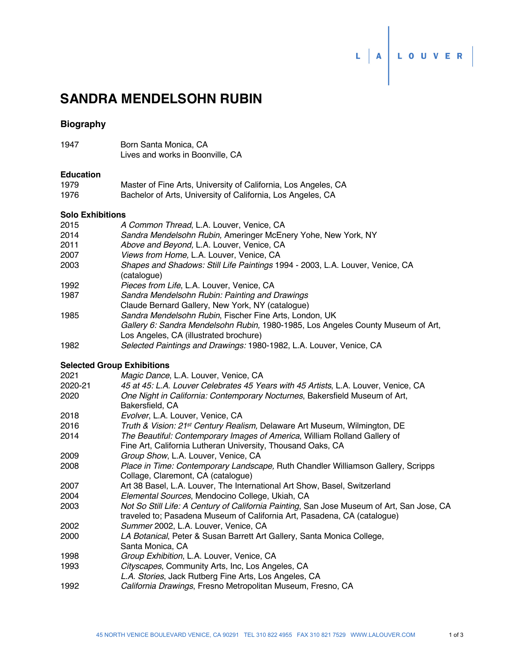# **SANDRA MENDELSOHN RUBIN**

## **Biography**

| 1947 | Born Santa Monica, CA            |  |
|------|----------------------------------|--|
|      | Lives and works in Boonville, CA |  |

### **Education**

| 1979 | Master of Fine Arts, University of California, Los Angeles, CA |
|------|----------------------------------------------------------------|
| 1976 | Bachelor of Arts, University of California, Los Angeles, CA    |

# **Solo Exhibitions**

| ƏVIV EXHIDILIVIIS |                                                                                              |
|-------------------|----------------------------------------------------------------------------------------------|
| 2015              | A Common Thread, L.A. Louver, Venice, CA                                                     |
| 2014              | Sandra Mendelsohn Rubin, Ameringer McEnery Yohe, New York, NY                                |
| 2011              | Above and Beyond, L.A. Louver, Venice, CA                                                    |
| 2007              | Views from Home, L.A. Louver, Venice, CA                                                     |
| 2003              | Shapes and Shadows: Still Life Paintings 1994 - 2003, L.A. Louver, Venice, CA<br>(catalogue) |
| 1992              | Pieces from Life, L.A. Louver, Venice, CA                                                    |
| 1987              | Sandra Mendelsohn Rubin: Painting and Drawings                                               |
|                   | Claude Bernard Gallery, New York, NY (catalogue)                                             |
| 1985              | Sandra Mendelsohn Rubin, Fischer Fine Arts, London, UK                                       |
|                   | Gallery 6: Sandra Mendelsohn Rubin, 1980-1985, Los Angeles County Museum of Art,             |

- Los Angeles, CA (illustrated brochure)
- 1982 *Selected Paintings and Drawings:* 1980-1982, L.A. Louver, Venice, CA

## **Selected Group Exhibitions**

| 2021    | Magic Dance, L.A. Louver, Venice, CA                                                                                                                                  |
|---------|-----------------------------------------------------------------------------------------------------------------------------------------------------------------------|
| 2020-21 | 45 at 45: L.A. Louver Celebrates 45 Years with 45 Artists, L.A. Louver, Venice, CA                                                                                    |
| 2020    | One Night in California: Contemporary Nocturnes, Bakersfield Museum of Art,<br>Bakersfield, CA                                                                        |
| 2018    | Evolver, L.A. Louver, Venice, CA                                                                                                                                      |
| 2016    | Truth & Vision: 21st Century Realism, Delaware Art Museum, Wilmington, DE                                                                                             |
| 2014    | The Beautiful: Contemporary Images of America, William Rolland Gallery of                                                                                             |
|         | Fine Art, California Lutheran University, Thousand Oaks, CA                                                                                                           |
| 2009    | Group Show, L.A. Louver, Venice, CA                                                                                                                                   |
| 2008    | Place in Time: Contemporary Landscape, Ruth Chandler Williamson Gallery, Scripps                                                                                      |
|         | Collage, Claremont, CA (catalogue)                                                                                                                                    |
| 2007    | Art 38 Basel, L.A. Louver, The International Art Show, Basel, Switzerland                                                                                             |
| 2004    | Elemental Sources, Mendocino College, Ukiah, CA                                                                                                                       |
| 2003    | Not So Still Life: A Century of California Painting, San Jose Museum of Art, San Jose, CA<br>traveled to; Pasadena Museum of California Art, Pasadena, CA (catalogue) |
| 2002    | Summer 2002, L.A. Louver, Venice, CA                                                                                                                                  |
| 2000    | LA Botanical, Peter & Susan Barrett Art Gallery, Santa Monica College,                                                                                                |
|         | Santa Monica, CA                                                                                                                                                      |
| 1998    | Group Exhibition, L.A. Louver, Venice, CA                                                                                                                             |
| 1993    | Cityscapes, Community Arts, Inc, Los Angeles, CA                                                                                                                      |
|         | L.A. Stories, Jack Rutberg Fine Arts, Los Angeles, CA                                                                                                                 |
| 1992    | California Drawings, Fresno Metropolitan Museum, Fresno, CA                                                                                                           |

L A LOUVER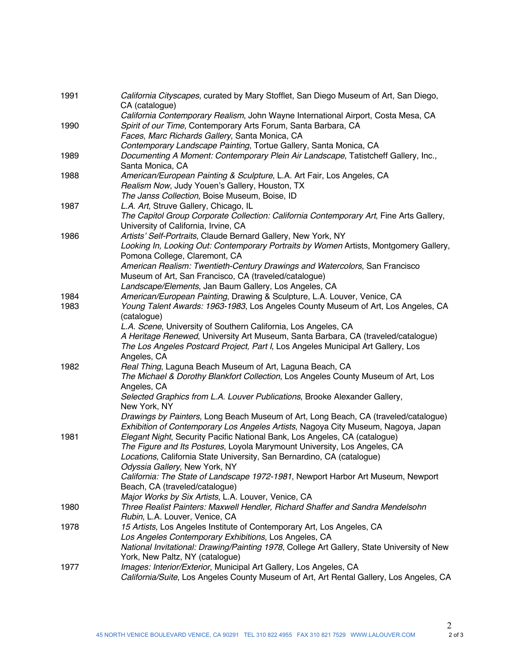| 1991 | California Cityscapes, curated by Mary Stofflet, San Diego Museum of Art, San Diego,<br>CA (catalogue) |
|------|--------------------------------------------------------------------------------------------------------|
|      | California Contemporary Realism, John Wayne International Airport, Costa Mesa, CA                      |
| 1990 | Spirit of our Time, Contemporary Arts Forum, Santa Barbara, CA                                         |
|      | Faces, Marc Richards Gallery, Santa Monica, CA                                                         |
|      | Contemporary Landscape Painting, Tortue Gallery, Santa Monica, CA                                      |
| 1989 | Documenting A Moment: Contemporary Plein Air Landscape, Tatistcheff Gallery, Inc.,<br>Santa Monica, CA |
| 1988 | American/European Painting & Sculpture, L.A. Art Fair, Los Angeles, CA                                 |
|      | Realism Now, Judy Youen's Gallery, Houston, TX                                                         |
|      | The Janss Collection, Boise Museum, Boise, ID                                                          |
| 1987 | L.A. Art, Struve Gallery, Chicago, IL                                                                  |
|      | The Capitol Group Corporate Collection: California Contemporary Art, Fine Arts Gallery,                |
|      | University of California, Irvine, CA                                                                   |
| 1986 | Artists' Self-Portraits, Claude Bernard Gallery, New York, NY                                          |
|      | Looking In, Looking Out: Contemporary Portraits by Women Artists, Montgomery Gallery,                  |
|      | Pomona College, Claremont, CA                                                                          |
|      | American Realism: Twentieth-Century Drawings and Watercolors, San Francisco                            |
|      | Museum of Art, San Francisco, CA (traveled/catalogue)                                                  |
|      | Landscape/Elements, Jan Baum Gallery, Los Angeles, CA                                                  |
| 1984 | American/European Painting, Drawing & Sculpture, L.A. Louver, Venice, CA                               |
| 1983 | Young Talent Awards: 1963-1983, Los Angeles County Museum of Art, Los Angeles, CA<br>(catalogue)       |
|      | L.A. Scene, University of Southern California, Los Angeles, CA                                         |
|      | A Heritage Renewed, University Art Museum, Santa Barbara, CA (traveled/catalogue)                      |
|      | The Los Angeles Postcard Project, Part I, Los Angeles Municipal Art Gallery, Los                       |
|      | Angeles, CA                                                                                            |
| 1982 | Real Thing, Laguna Beach Museum of Art, Laguna Beach, CA                                               |
|      | The Michael & Dorothy Blankfort Collection, Los Angeles County Museum of Art, Los<br>Angeles, CA       |
|      | Selected Graphics from L.A. Louver Publications, Brooke Alexander Gallery,                             |
|      | New York, NY                                                                                           |
|      | Drawings by Painters, Long Beach Museum of Art, Long Beach, CA (traveled/catalogue)                    |
|      | Exhibition of Contemporary Los Angeles Artists, Nagoya City Museum, Nagoya, Japan                      |
| 1981 | Elegant Night, Security Pacific National Bank, Los Angeles, CA (catalogue)                             |
|      | The Figure and Its Postures, Loyola Marymount University, Los Angeles, CA                              |
|      | Locations, California State University, San Bernardino, CA (catalogue)                                 |
|      | Odyssia Gallery, New York, NY                                                                          |
|      | California: The State of Landscape 1972-1981, Newport Harbor Art Museum, Newport                       |
|      | Beach, CA (traveled/catalogue)                                                                         |
|      | Major Works by Six Artists, L.A. Louver, Venice, CA                                                    |
| 1980 | Three Realist Painters: Maxwell Hendler, Richard Shaffer and Sandra Mendelsohn                         |
|      | Rubin, L.A. Louver, Venice, CA                                                                         |
| 1978 | 15 Artists, Los Angeles Institute of Contemporary Art, Los Angeles, CA                                 |
|      | Los Angeles Contemporary Exhibitions, Los Angeles, CA                                                  |
|      | National Invitational: Drawing/Painting 1978, College Art Gallery, State University of New             |
|      | York, New Paltz, NY (catalogue)                                                                        |
| 1977 | Images: Interior/Exterior, Municipal Art Gallery, Los Angeles, CA                                      |
|      | California/Suite, Los Angeles County Museum of Art, Art Rental Gallery, Los Angeles, CA                |
|      |                                                                                                        |